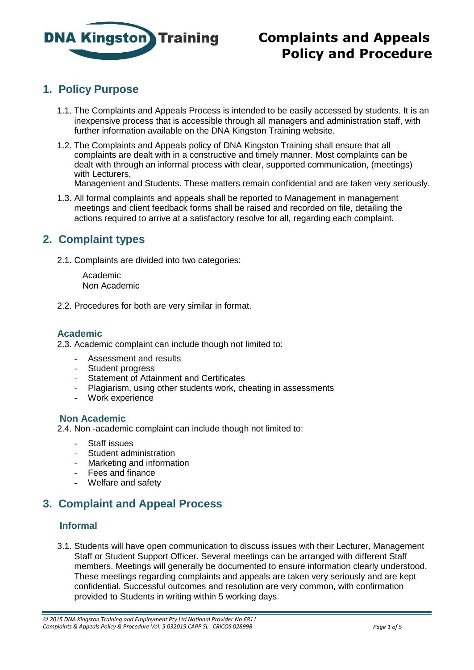

## **1. Policy Purpose**

- 1.1. The Complaints and Appeals Process is intended to be easily accessed by students. It is an inexpensive process that is accessible through all managers and administration staff, with further information available on the DNA Kingston Training website.
- 1.2. The Complaints and Appeals policy of DNA Kingston Training shall ensure that all complaints are dealt with in a constructive and timely manner. Most complaints can be dealt with through an informal process with clear, supported communication, (meetings) with Lecturers,

Management and Students. These matters remain confidential and are taken very seriously.

1.3. All formal complaints and appeals shall be reported to Management in management meetings and client feedback forms shall be raised and recorded on file, detailing the actions required to arrive at a satisfactory resolve for all, regarding each complaint.

## **2. Complaint types**

2.1. Complaints are divided into two categories:

 Academic Non Academic

2.2. Procedures for both are very similar in format.

### **Academic**

2.3. Academic complaint can include though not limited to:

- Assessment and results
- Student progress
- Statement of Attainment and Certificates
- Plagiarism, using other students work, cheating in assessments
- Work experience

#### **Non Academic**

2.4. Non -academic complaint can include though not limited to:

- Staff issues
- Student administration
- Marketing and information
- Fees and finance
- Welfare and safety

# **3. Complaint and Appeal Process**

### **Informal**

3.1. Students will have open communication to discuss issues with their Lecturer, Management Staff or Student Support Officer. Several meetings can be arranged with different Staff members. Meetings will generally be documented to ensure information clearly understood. These meetings regarding complaints and appeals are taken very seriously and are kept confidential. Successful outcomes and resolution are very common, with confirmation provided to Students in writing within 5 working days.

*<sup>© 2015</sup> DNA Kingston Training and Employment Pty Ltd National Provider No 6811 Complaints & Appeals Policy & Procedure Vol: 5 032019 CAPP SL CRICOS 02899B Page 1 of 5*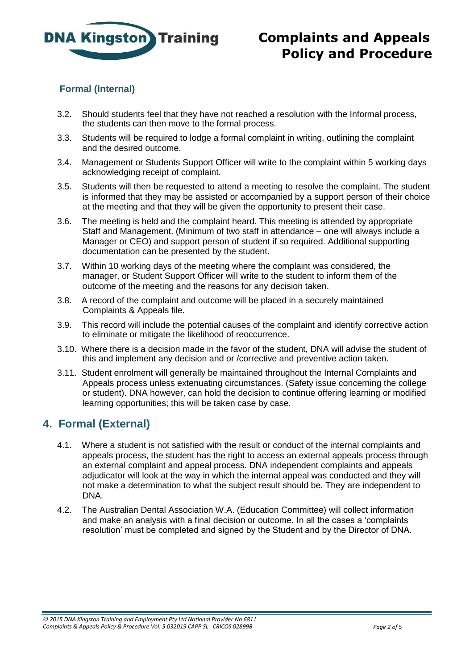

### **Formal (Internal)**

- 3.2. Should students feel that they have not reached a resolution with the Informal process, the students can then move to the formal process.
- 3.3. Students will be required to lodge a formal complaint in writing, outlining the complaint and the desired outcome.
- 3.4. Management or Students Support Officer will write to the complaint within 5 working days acknowledging receipt of complaint.
- 3.5. Students will then be requested to attend a meeting to resolve the complaint. The student is informed that they may be assisted or accompanied by a support person of their choice at the meeting and that they will be given the opportunity to present their case.
- 3.6. The meeting is held and the complaint heard. This meeting is attended by appropriate Staff and Management. (Minimum of two staff in attendance – one will always include a Manager or CEO) and support person of student if so required. Additional supporting documentation can be presented by the student.
- 3.7. Within 10 working days of the meeting where the complaint was considered, the manager, or Student Support Officer will write to the student to inform them of the outcome of the meeting and the reasons for any decision taken.
- 3.8. A record of the complaint and outcome will be placed in a securely maintained Complaints & Appeals file.
- 3.9. This record will include the potential causes of the complaint and identify corrective action to eliminate or mitigate the likelihood of reoccurrence.
- 3.10. Where there is a decision made in the favor of the student, DNA will advise the student of this and implement any decision and or /corrective and preventive action taken.
- 3.11. Student enrolment will generally be maintained throughout the Internal Complaints and Appeals process unless extenuating circumstances. (Safety issue concerning the college or student). DNA however, can hold the decision to continue offering learning or modified learning opportunities; this will be taken case by case.

### **4. Formal (External)**

- 4.1. Where a student is not satisfied with the result or conduct of the internal complaints and appeals process, the student has the right to access an external appeals process through an external complaint and appeal process. DNA independent complaints and appeals adjudicator will look at the way in which the internal appeal was conducted and they will not make a determination to what the subject result should be. They are independent to DNA.
- 4.2. The Australian Dental Association W.A. (Education Committee) will collect information and make an analysis with a final decision or outcome. In all the cases a 'complaints resolution' must be completed and signed by the Student and by the Director of DNA.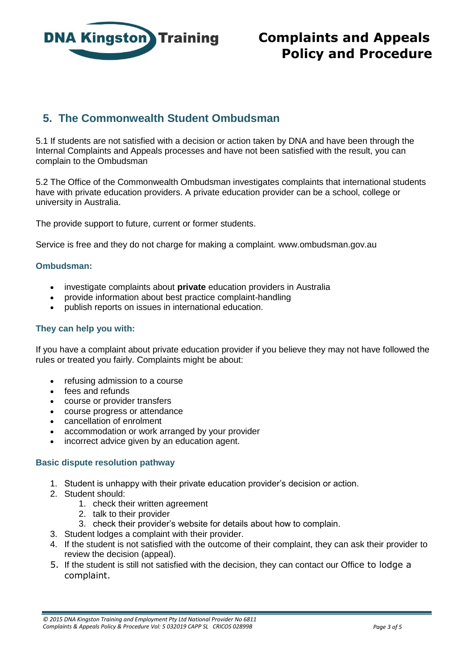

# **5. The Commonwealth Student Ombudsman**

5.1 If students are not satisfied with a decision or action taken by DNA and have been through the Internal Complaints and Appeals processes and have not been satisfied with the result, you can complain to the Ombudsman

5.2 The Office of the Commonwealth Ombudsman investigates complaints that international students have with private education providers. A private education provider can be a school, college or university in Australia.

The provide support to future, current or former students.

Service is free and they do not charge for making a complaint. www.ombudsman.gov.au

#### **Ombudsman:**

- investigate complaints about **private** education providers in Australia
- provide information about best practice complaint-handling
- publish reports on issues in international education.

#### **They can help you with:**

If you have a complaint about private education provider if you believe they may not have followed the rules or treated you fairly. Complaints might be about:

- refusing admission to a course
- fees and refunds
- course or provider transfers
- course progress or attendance
- cancellation of enrolment
- accommodation or work arranged by your provider
- incorrect advice given by an education agent.

#### **Basic dispute resolution pathway**

- 1. Student is unhappy with their private education provider's decision or action.
- 2. Student should:
	- 1. check their written agreement
	- 2. talk to their provider
	- 3. check their provider's website for details about how to complain.
- 3. Student lodges a complaint with their provider.
- 4. If the student is not satisfied with the outcome of their complaint, they can ask their provider to review the decision (appeal).
- 5. If the student is still not satisfied with the decision, they can contact our Office to lodge a complaint.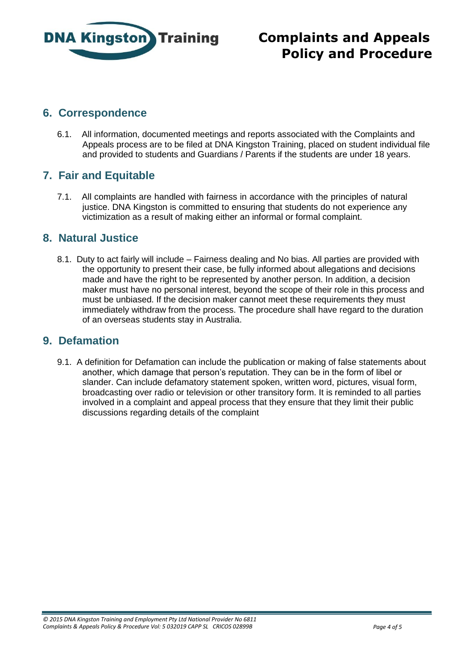

### **6. Correspondence**

6.1. All information, documented meetings and reports associated with the Complaints and Appeals process are to be filed at DNA Kingston Training, placed on student individual file and provided to students and Guardians / Parents if the students are under 18 years.

## **7. Fair and Equitable**

7.1. All complaints are handled with fairness in accordance with the principles of natural justice. DNA Kingston is committed to ensuring that students do not experience any victimization as a result of making either an informal or formal complaint.

### **8. Natural Justice**

8.1. Duty to act fairly will include – Fairness dealing and No bias. All parties are provided with the opportunity to present their case, be fully informed about allegations and decisions made and have the right to be represented by another person. In addition, a decision maker must have no personal interest, beyond the scope of their role in this process and must be unbiased. If the decision maker cannot meet these requirements they must immediately withdraw from the process. The procedure shall have regard to the duration of an overseas students stay in Australia.

### **9. Defamation**

9.1. A definition for Defamation can include the publication or making of false statements about another, which damage that person's reputation. They can be in the form of libel or slander. Can include defamatory statement spoken, written word, pictures, visual form, broadcasting over radio or television or other transitory form. It is reminded to all parties involved in a complaint and appeal process that they ensure that they limit their public discussions regarding details of the complaint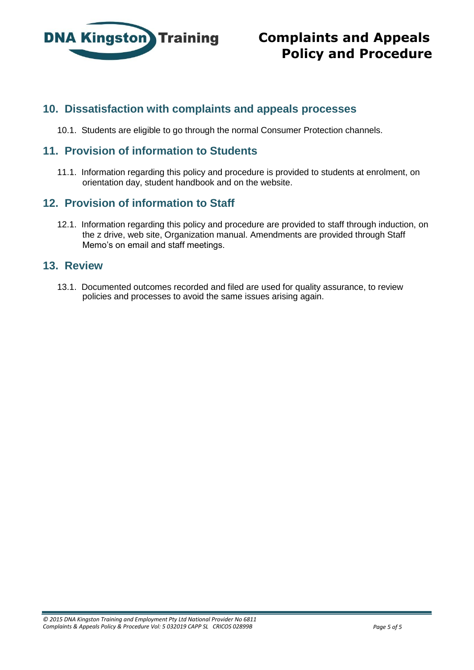

## **10. Dissatisfaction with complaints and appeals processes**

10.1. Students are eligible to go through the normal Consumer Protection channels.

### **11. Provision of information to Students**

11.1. Information regarding this policy and procedure is provided to students at enrolment, on orientation day, student handbook and on the website.

## **12. Provision of information to Staff**

12.1. Information regarding this policy and procedure are provided to staff through induction, on the z drive, web site, Organization manual. Amendments are provided through Staff Memo's on email and staff meetings.

### **13. Review**

13.1. Documented outcomes recorded and filed are used for quality assurance, to review policies and processes to avoid the same issues arising again.